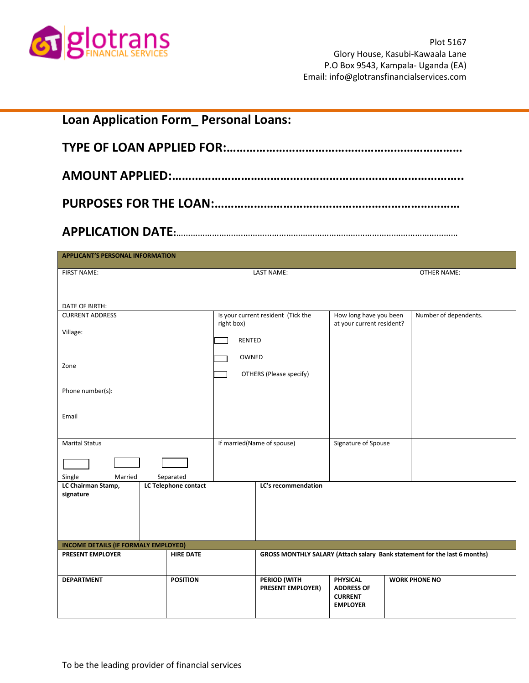

| <b>Loan Application Form_Personal Loans:</b>         |                                   |                      |                                          |                                                                    |  |                                                                           |
|------------------------------------------------------|-----------------------------------|----------------------|------------------------------------------|--------------------------------------------------------------------|--|---------------------------------------------------------------------------|
|                                                      |                                   |                      |                                          |                                                                    |  |                                                                           |
|                                                      |                                   |                      |                                          |                                                                    |  |                                                                           |
| <b>APPLICANT'S PERSONAL INFORMATION</b>              |                                   |                      |                                          |                                                                    |  |                                                                           |
| FIRST NAME:                                          |                                   |                      | <b>LAST NAME:</b>                        |                                                                    |  | <b>OTHER NAME:</b>                                                        |
| DATE OF BIRTH:                                       |                                   |                      |                                          |                                                                    |  |                                                                           |
| <b>CURRENT ADDRESS</b><br>Village:                   |                                   | right box)<br>RENTED | Is your current resident (Tick the       | How long have you been<br>at your current resident?                |  | Number of dependents.                                                     |
| Zone                                                 |                                   | OWNED                | OTHERS (Please specify)                  |                                                                    |  |                                                                           |
| Phone number(s):                                     |                                   |                      |                                          |                                                                    |  |                                                                           |
| Email                                                |                                   |                      |                                          |                                                                    |  |                                                                           |
| <b>Marital Status</b>                                |                                   |                      | If married(Name of spouse)               | Signature of Spouse                                                |  |                                                                           |
| Single<br>Married<br>LC Chairman Stamp,<br>signature | Separated<br>LC Telephone contact |                      | LC's recommendation                      |                                                                    |  |                                                                           |
| INCOME DETAILS (IF FORMALY EMPLOYED)                 |                                   |                      |                                          |                                                                    |  |                                                                           |
| <b>PRESENT EMPLOYER</b>                              | <b>HIRE DATE</b>                  |                      |                                          |                                                                    |  | GROSS MONTHLY SALARY (Attach salary Bank statement for the last 6 months) |
| <b>DEPARTMENT</b>                                    | <b>POSITION</b>                   |                      | PERIOD (WITH<br><b>PRESENT EMPLOYER)</b> | PHYSICAL<br><b>ADDRESS OF</b><br><b>CURRENT</b><br><b>EMPLOYER</b> |  | <b>WORK PHONE NO</b>                                                      |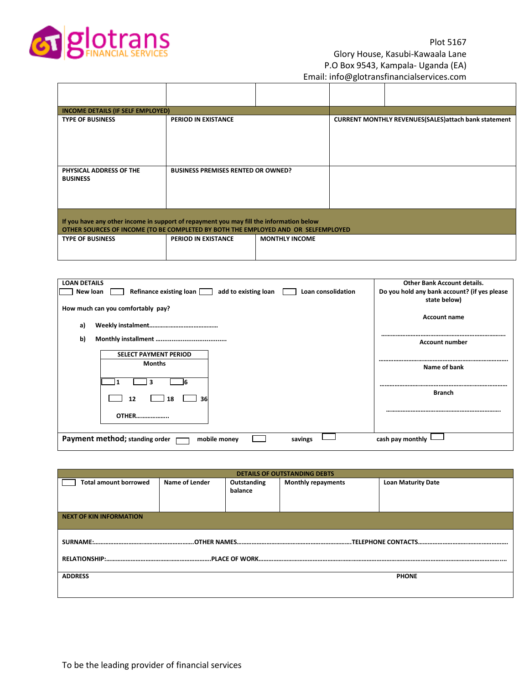

# Plot 5167 Glory House, Kasubi-Kawaala Lane P.O Box 9543, Kampala- Uganda (EA) Email: info@glotransfinancialservices.com

| INCOME DETAILS (IF SELF EMPLOYED)                                                                                                                                            |                                           |                       |  |                                                               |  |  |
|------------------------------------------------------------------------------------------------------------------------------------------------------------------------------|-------------------------------------------|-----------------------|--|---------------------------------------------------------------|--|--|
| <b>TYPE OF BUSINESS</b>                                                                                                                                                      | <b>PERIOD IN EXISTANCE</b>                |                       |  | <b>CURRENT MONTHLY REVENUES (SALES) attach bank statement</b> |  |  |
| PHYSICAL ADDRESS OF THE<br><b>BUSINESS</b>                                                                                                                                   | <b>BUSINESS PREMISES RENTED OR OWNED?</b> |                       |  |                                                               |  |  |
| If you have any other income in support of repayment you may fill the information below<br>OTHER SOURCES OF INCOME (TO BE COMPLETED BY BOTH THE EMPLOYED AND OR SELFEMPLOYED |                                           |                       |  |                                                               |  |  |
| <b>TYPE OF BUSINESS</b>                                                                                                                                                      | <b>PERIOD IN EXISTANCE</b>                | <b>MONTHLY INCOME</b> |  |                                                               |  |  |

| <b>LOAN DETAILS</b>                                                            | <b>Other Bank Account details.</b>           |
|--------------------------------------------------------------------------------|----------------------------------------------|
| Refinance existing loan add to existing loan<br>Loan consolidation<br>New loan | Do you hold any bank account? (if yes please |
|                                                                                | state below)                                 |
| How much can you comfortably pay?                                              |                                              |
|                                                                                | <b>Account name</b>                          |
|                                                                                |                                              |
| a)                                                                             |                                              |
| b)                                                                             |                                              |
|                                                                                | <b>Account number</b>                        |
| <b>SELECT PAYMENT PERIOD</b>                                                   |                                              |
|                                                                                |                                              |
| <b>Months</b>                                                                  | Name of bank                                 |
|                                                                                |                                              |
|                                                                                |                                              |
|                                                                                | <b>Branch</b>                                |
| 12<br>36<br>18                                                                 |                                              |
|                                                                                |                                              |
|                                                                                |                                              |
| <b>OTHER</b>                                                                   |                                              |
|                                                                                |                                              |
|                                                                                |                                              |
| Payment method; standing order<br>mobile money<br>savings                      | cash pay monthly                             |

| <b>DETAILS OF OUTSTANDING DEBTS</b> |                |             |                           |                           |  |  |
|-------------------------------------|----------------|-------------|---------------------------|---------------------------|--|--|
| <b>Total amount borrowed</b>        | Name of Lender | Outstanding | <b>Monthly repayments</b> | <b>Loan Maturity Date</b> |  |  |
|                                     |                | balance     |                           |                           |  |  |
|                                     |                |             |                           |                           |  |  |
|                                     |                |             |                           |                           |  |  |
| <b>NEXT OF KIN INFORMATION</b>      |                |             |                           |                           |  |  |
|                                     |                |             |                           |                           |  |  |
|                                     |                |             |                           |                           |  |  |
|                                     |                |             |                           |                           |  |  |
|                                     |                |             |                           |                           |  |  |
|                                     |                |             |                           |                           |  |  |
| <b>ADDRESS</b>                      |                |             |                           | <b>PHONE</b>              |  |  |
|                                     |                |             |                           |                           |  |  |
|                                     |                |             |                           |                           |  |  |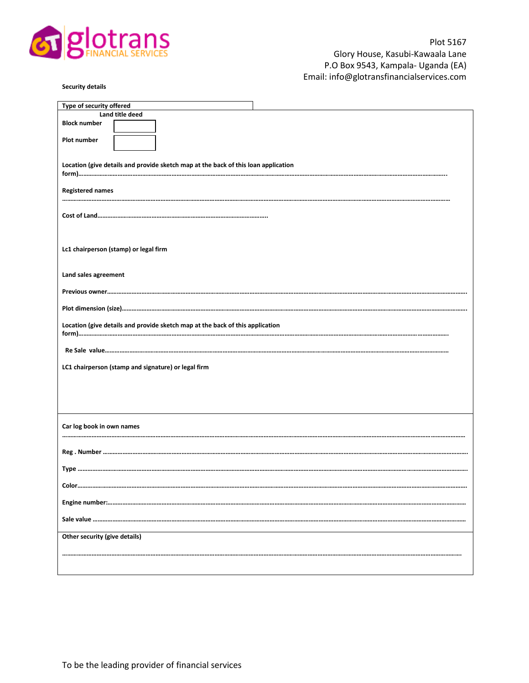

| Type of security offered                                                           |
|------------------------------------------------------------------------------------|
| Land title deed                                                                    |
| <b>Block number</b>                                                                |
| Plot number                                                                        |
|                                                                                    |
|                                                                                    |
| Location (give details and provide sketch map at the back of this loan application |
|                                                                                    |
| <b>Registered names</b>                                                            |
|                                                                                    |
|                                                                                    |
|                                                                                    |
|                                                                                    |
| Lc1 chairperson (stamp) or legal firm                                              |
|                                                                                    |
|                                                                                    |
| Land sales agreement                                                               |
|                                                                                    |
|                                                                                    |
|                                                                                    |
| Location (give details and provide sketch map at the back of this application      |
|                                                                                    |
|                                                                                    |
|                                                                                    |
| LC1 chairperson (stamp and signature) or legal firm                                |
|                                                                                    |
|                                                                                    |
|                                                                                    |
|                                                                                    |
|                                                                                    |
| Car log book in own names                                                          |
|                                                                                    |
|                                                                                    |
|                                                                                    |
|                                                                                    |
| Color                                                                              |
|                                                                                    |
|                                                                                    |
|                                                                                    |
|                                                                                    |
| Other security (give details)                                                      |
|                                                                                    |
|                                                                                    |
|                                                                                    |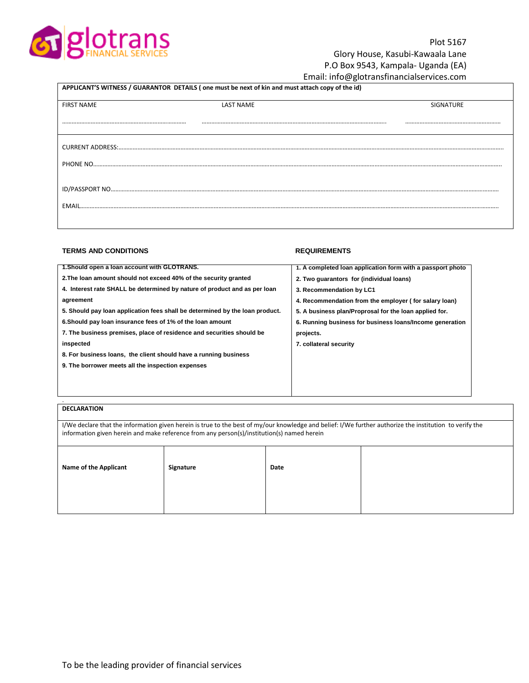

# Plot 5167 Glory House, Kasubi-Kawaala Lane P.O Box 9543, Kampala- Uganda (EA)

## Email: info@glotransfinancialservices.com

| APPLICANT'S WITNESS / GUARANTOR DETAILS (one must be next of kin and must attach copy of the id) |                  |                  |  |  |  |
|--------------------------------------------------------------------------------------------------|------------------|------------------|--|--|--|
| <b>FIRST NAME</b>                                                                                | <b>LAST NAME</b> | <b>SIGNATURE</b> |  |  |  |
|                                                                                                  |                  |                  |  |  |  |
|                                                                                                  |                  |                  |  |  |  |
|                                                                                                  |                  |                  |  |  |  |
|                                                                                                  |                  |                  |  |  |  |
|                                                                                                  |                  |                  |  |  |  |
|                                                                                                  |                  |                  |  |  |  |
| EMAIL                                                                                            |                  |                  |  |  |  |
|                                                                                                  |                  |                  |  |  |  |
|                                                                                                  |                  |                  |  |  |  |

### **TERMS AND CONDITIONS CONDITIONS REQUIREMENTS**

| 1. A completed loan application form with a passport photo |
|------------------------------------------------------------|
| 2. Two quarantors for (individual loans)                   |
|                                                            |
|                                                            |
| 4. Recommendation from the employer (for salary loan)      |
| 5. A business plan/Proprosal for the loan applied for.     |
| 6. Running business for business loans/Income generation   |
|                                                            |
|                                                            |
|                                                            |
|                                                            |
|                                                            |
|                                                            |
|                                                            |

## **DECLARATION**

.

I/We declare that the information given herein is true to the best of my/our knowledge and belief: I/We further authorize the institution to verify the information given herein and make reference from any person(s)/institution(s) named herein

| <b>Name of the Applicant</b> | Signature | Date |  |
|------------------------------|-----------|------|--|
|                              |           |      |  |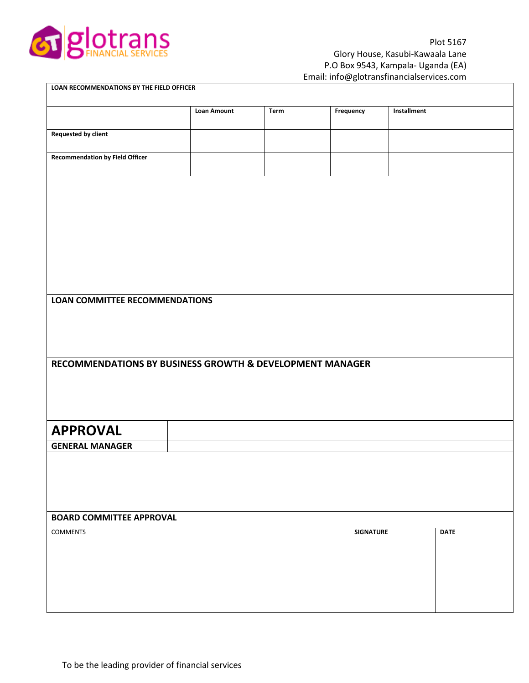

| LOAN RECOMMENDATIONS BY THE FIELD OFFICER                |                    |      |                  |             |             |  |
|----------------------------------------------------------|--------------------|------|------------------|-------------|-------------|--|
|                                                          | <b>Loan Amount</b> | Term | Frequency        | Installment |             |  |
| <b>Requested by client</b>                               |                    |      |                  |             |             |  |
| <b>Recommendation by Field Officer</b>                   |                    |      |                  |             |             |  |
|                                                          |                    |      |                  |             |             |  |
|                                                          |                    |      |                  |             |             |  |
|                                                          |                    |      |                  |             |             |  |
|                                                          |                    |      |                  |             |             |  |
|                                                          |                    |      |                  |             |             |  |
| <b>LOAN COMMITTEE RECOMMENDATIONS</b>                    |                    |      |                  |             |             |  |
|                                                          |                    |      |                  |             |             |  |
|                                                          |                    |      |                  |             |             |  |
| RECOMMENDATIONS BY BUSINESS GROWTH & DEVELOPMENT MANAGER |                    |      |                  |             |             |  |
|                                                          |                    |      |                  |             |             |  |
|                                                          |                    |      |                  |             |             |  |
| <b>APPROVAL</b>                                          |                    |      |                  |             |             |  |
| <b>GENERAL MANAGER</b>                                   |                    |      |                  |             |             |  |
|                                                          |                    |      |                  |             |             |  |
|                                                          |                    |      |                  |             |             |  |
|                                                          |                    |      |                  |             |             |  |
| <b>BOARD COMMITTEE APPROVAL</b>                          |                    |      |                  |             |             |  |
| <b>COMMENTS</b>                                          |                    |      | <b>SIGNATURE</b> |             | <b>DATE</b> |  |
|                                                          |                    |      |                  |             |             |  |
|                                                          |                    |      |                  |             |             |  |
|                                                          |                    |      |                  |             |             |  |
|                                                          |                    |      |                  |             |             |  |